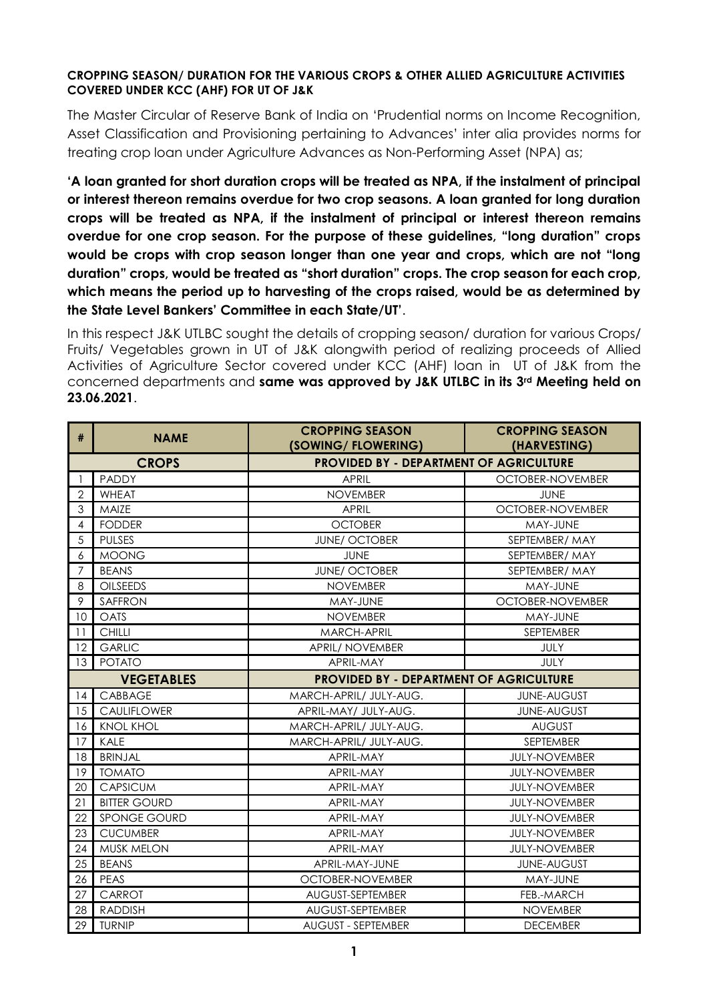## **CROPPING SEASON/ DURATION FOR THE VARIOUS CROPS & OTHER ALLIED AGRICULTURE ACTIVITIES COVERED UNDER KCC (AHF) FOR UT OF J&K**

The Master Circular of Reserve Bank of India on 'Prudential norms on Income Recognition, Asset Classification and Provisioning pertaining to Advances' inter alia provides norms for treating crop loan under Agriculture Advances as Non-Performing Asset (NPA) as;

**'A loan granted for short duration crops will be treated as NPA, if the instalment of principal or interest thereon remains overdue for two crop seasons. A loan granted for long duration crops will be treated as NPA, if the instalment of principal or interest thereon remains overdue for one crop season. For the purpose of these guidelines, "long duration" crops would be crops with crop season longer than one year and crops, which are not "long duration" crops, would be treated as "short duration" crops. The crop season for each crop, which means the period up to harvesting of the crops raised, would be as determined by the State Level Bankers' Committee in each State/UT'**.

In this respect J&K UTLBC sought the details of cropping season/ duration for various Crops/ Fruits/ Vegetables grown in UT of J&K alongwith period of realizing proceeds of Allied Activities of Agriculture Sector covered under KCC (AHF) loan in UT of J&K from the concerned departments and **same was approved by J&K UTLBC in its 3rd Meeting held on 23.06.2021**.

| #              | <b>NAME</b>         | <b>CROPPING SEASON</b><br>(SOWING/FLOWERING)   | <b>CROPPING SEASON</b><br>(HARVESTING) |  |
|----------------|---------------------|------------------------------------------------|----------------------------------------|--|
|                | <b>CROPS</b>        | <b>PROVIDED BY - DEPARTMENT OF AGRICULTURE</b> |                                        |  |
|                | <b>PADDY</b>        | <b>APRIL</b>                                   | OCTOBER-NOVEMBER                       |  |
| $\overline{2}$ | <b>WHEAT</b>        | <b>NOVEMBER</b>                                | <b>JUNE</b>                            |  |
| 3              | MAIZE               | <b>APRIL</b>                                   | OCTOBER-NOVEMBER                       |  |
| 4              | <b>FODDER</b>       | <b>OCTOBER</b>                                 | MAY-JUNE                               |  |
| 5              | <b>PULSES</b>       | <b>JUNE/ OCTOBER</b>                           | SEPTEMBER/ MAY                         |  |
| 6              | <b>MOONG</b>        | <b>JUNE</b>                                    | SEPTEMBER/MAY                          |  |
| $\overline{7}$ | <b>BEANS</b>        | <b>JUNE/ OCTOBER</b>                           | SEPTEMBER/MAY                          |  |
| 8              | <b>OILSEEDS</b>     | <b>NOVEMBER</b>                                | MAY-JUNE                               |  |
| 9<br>SAFFRON   |                     | MAY-JUNE                                       | OCTOBER-NOVEMBER                       |  |
| 10             | OATS                | <b>NOVEMBER</b>                                | MAY-JUNE                               |  |
| 11             | <b>CHILLI</b>       | MARCH-APRIL                                    | SEPTEMBER                              |  |
| 12             | <b>GARLIC</b>       | APRIL/ NOVEMBER                                | <b>JULY</b>                            |  |
| 13             | <b>POTATO</b>       | APRIL-MAY                                      | <b>JULY</b>                            |  |
|                | <b>VEGETABLES</b>   | <b>PROVIDED BY - DEPARTMENT OF AGRICULTURE</b> |                                        |  |
| 14             | CABBAGE             | MARCH-APRIL/ JULY-AUG.                         | <b>JUNE-AUGUST</b>                     |  |
| 15             | <b>CAULIFLOWER</b>  | APRIL-MAY/ JULY-AUG.                           | <b>JUNE-AUGUST</b>                     |  |
| 16             | <b>KNOL KHOL</b>    | MARCH-APRIL/ JULY-AUG.                         | <b>AUGUST</b>                          |  |
| 17             | KALE                | MARCH-APRIL/ JULY-AUG.                         | SEPTEMBER                              |  |
| 18             | <b>BRINJAL</b>      | APRIL-MAY                                      | <b>JULY-NOVEMBER</b>                   |  |
| 19             | <b>TOMATO</b>       | APRIL-MAY                                      | <b>JULY-NOVEMBER</b>                   |  |
| 20             | <b>CAPSICUM</b>     | APRIL-MAY                                      | <b>JULY-NOVEMBER</b>                   |  |
| 21             | <b>BITTER GOURD</b> | APRIL-MAY                                      | <b>JULY-NOVEMBER</b>                   |  |
| 22             | <b>SPONGE GOURD</b> | APRIL-MAY                                      | <b>JULY-NOVEMBER</b>                   |  |
| 23             | <b>CUCUMBER</b>     | APRIL-MAY                                      | <b>JULY-NOVEMBER</b>                   |  |
| 24             | MUSK MELON          | APRIL-MAY                                      | <b>JULY-NOVEMBER</b>                   |  |
| 25             | <b>BEANS</b>        | APRIL-MAY-JUNE                                 | <b>JUNE-AUGUST</b>                     |  |
| 26             | PEAS                | OCTOBER-NOVEMBER                               | MAY-JUNE                               |  |
| 27             | CARROT              | AUGUST-SEPTEMBER                               | FEB.-MARCH                             |  |
| 28             | <b>RADDISH</b>      | AUGUST-SEPTEMBER                               | <b>NOVEMBER</b>                        |  |
| 29             | <b>TURNIP</b>       | <b>AUGUST - SEPTEMBER</b>                      | <b>DECEMBER</b>                        |  |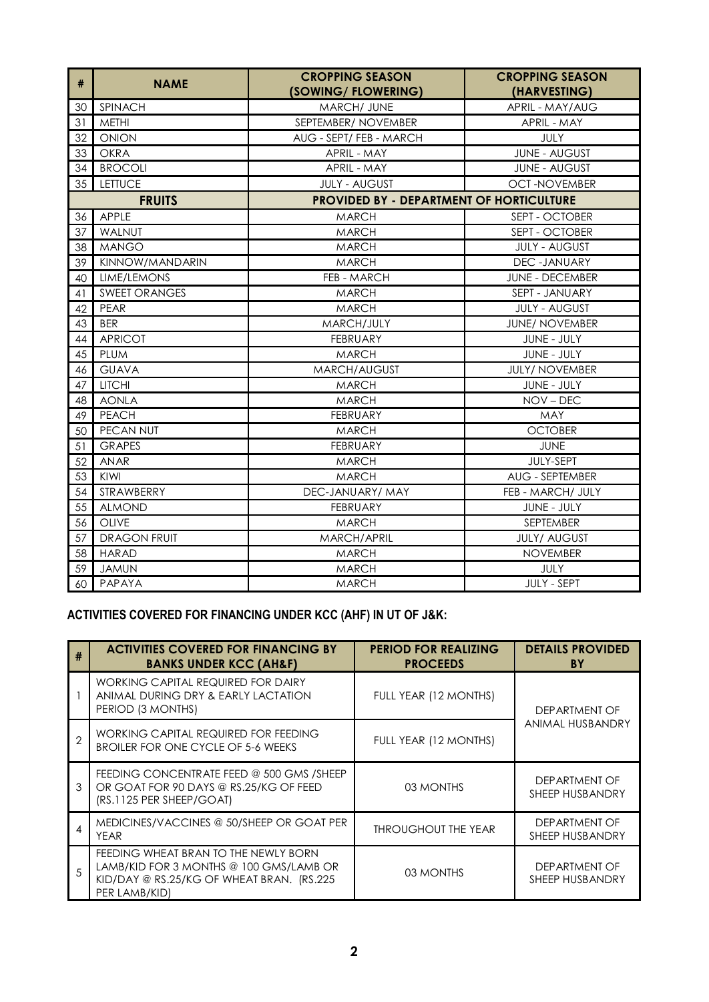| $\#$          | <b>NAME</b>          | <b>CROPPING SEASON</b><br>(SOWING/FLOWERING)    | <b>CROPPING SEASON</b><br>(HARVESTING) |  |
|---------------|----------------------|-------------------------------------------------|----------------------------------------|--|
| 30            | <b>SPINACH</b>       | MARCH/ JUNE                                     | APRIL - MAY/AUG                        |  |
| 31            | <b>METHI</b>         | SEPTEMBER/ NOVEMBER                             | APRIL - MAY                            |  |
| 32            | <b>ONION</b>         | AUG - SEPT/ FEB - MARCH                         | JULY                                   |  |
| 33            | <b>OKRA</b>          | APRIL - MAY                                     | <b>JUNE - AUGUST</b>                   |  |
| 34            | <b>BROCOLI</b>       | APRIL - MAY                                     | <b>JUNE - AUGUST</b>                   |  |
| 35            | <b>LETTUCE</b>       | <b>JULY - AUGUST</b>                            | <b>OCT-NOVEMBER</b>                    |  |
| <b>FRUITS</b> |                      | <b>PROVIDED BY - DEPARTMENT OF HORTICULTURE</b> |                                        |  |
| 36            | APPLE                | <b>MARCH</b>                                    | SEPT - OCTOBER                         |  |
| 37            | WALNUT               | <b>MARCH</b>                                    | SEPT - OCTOBER                         |  |
| 38            | <b>MANGO</b>         | <b>MARCH</b>                                    | <b>JULY - AUGUST</b>                   |  |
| 39            | KINNOW/MANDARIN      | <b>MARCH</b>                                    | DEC-JANUARY                            |  |
| 40            | LIME/LEMONS          | FEB - MARCH                                     | <b>JUNE - DECEMBER</b>                 |  |
| 41            | <b>SWEET ORANGES</b> | <b>MARCH</b>                                    | SEPT - JANUARY                         |  |
| 42            | PEAR                 | <b>MARCH</b>                                    | <b>JULY - AUGUST</b>                   |  |
| 43            | <b>BER</b>           | MARCH/JULY                                      | <b>JUNE/ NOVEMBER</b>                  |  |
| 44            | <b>APRICOT</b>       | <b>FEBRUARY</b>                                 | <b>JUNE - JULY</b>                     |  |
| 45            | PLUM                 | <b>MARCH</b>                                    | JUNE - JULY                            |  |
| 46            | <b>GUAVA</b>         | MARCH/AUGUST                                    | <b>JULY/ NOVEMBER</b>                  |  |
| 47            | <b>LITCHI</b>        | <b>MARCH</b>                                    | <b>JUNE - JULY</b>                     |  |
| 48            | <b>AONLA</b>         | <b>MARCH</b>                                    | NOV-DEC                                |  |
| 49            | <b>PEACH</b>         | <b>FEBRUARY</b>                                 | <b>MAY</b>                             |  |
| 50            | <b>PECAN NUT</b>     | <b>MARCH</b>                                    | <b>OCTOBER</b>                         |  |
| 51            | <b>GRAPES</b>        | <b>FEBRUARY</b>                                 | <b>JUNE</b>                            |  |
| 52            | <b>ANAR</b>          | <b>MARCH</b>                                    | JULY-SEPT                              |  |
| 53            | KIWI                 | <b>MARCH</b>                                    | AUG - SEPTEMBER                        |  |
| 54            | STRAWBERRY           | DEC-JANUARY/ MAY                                | FEB - MARCH/ JULY                      |  |
| 55            | <b>ALMOND</b>        | <b>FEBRUARY</b>                                 | JUNE - JULY                            |  |
| 56            | OLIVE                | <b>MARCH</b>                                    | SEPTEMBER                              |  |
| 57            | <b>DRAGON FRUIT</b>  | MARCH/APRIL                                     | <b>JULY/ AUGUST</b>                    |  |
| 58            | <b>HARAD</b>         | <b>MARCH</b>                                    | <b>NOVEMBER</b>                        |  |
| 59            | <b>JAMUN</b>         | <b>MARCH</b>                                    | JULY                                   |  |
| 60            | PAPAYA               | <b>MARCH</b>                                    | <b>JULY - SEPT</b>                     |  |

## **ACTIVITIES COVERED FOR FINANCING UNDER KCC (AHF) IN UT OF J&K:**

| #             | <b>ACTIVITIES COVERED FOR FINANCING BY</b><br><b>BANKS UNDER KCC (AH&amp;F)</b>                                                               | <b>PERIOD FOR REALIZING</b><br><b>PROCEEDS</b> | <b>DETAILS PROVIDED</b><br>BY    |  |
|---------------|-----------------------------------------------------------------------------------------------------------------------------------------------|------------------------------------------------|----------------------------------|--|
|               | WORKING CAPITAL REQUIRED FOR DAIRY<br>ANIMAL DURING DRY & EARLY LACTATION<br>PERIOD (3 MONTHS)                                                | FULL YEAR (12 MONTHS)                          | DEPARTMENT OF                    |  |
| $\mathcal{P}$ | WORKING CAPITAL REQUIRED FOR FEEDING<br>BROILER FOR ONE CYCLE OF 5-6 WEEKS                                                                    | FULL YEAR (12 MONTHS)                          | ANIMAL HUSBANDRY                 |  |
| 3             | FEEDING CONCENTRATE FEED @ 500 GMS / SHEEP<br>OR GOAT FOR 90 DAYS @ RS.25/KG OF FEED<br>(RS.1125 PER SHEEP/GOAT)                              | 03 MONTHS                                      | DEPARTMENT OF<br>SHEEP HUSBANDRY |  |
| Δ             | MEDICINES/VACCINES @ 50/SHEEP OR GOAT PER<br><b>YEAR</b>                                                                                      | <b>THROUGHOUT THE YEAR</b>                     | DEPARTMENT OF<br>SHEEP HUSBANDRY |  |
| 5             | FEEDING WHEAT BRAN TO THE NEWLY BORN<br>LAMB/KID FOR 3 MONTHS @ 100 GMS/LAMB OR<br>KID/DAY @ RS.25/KG OF WHEAT BRAN. (RS.225<br>PER LAMB/KID) | 03 MONTHS                                      | DEPARTMENT OF<br>SHEEP HUSBANDRY |  |